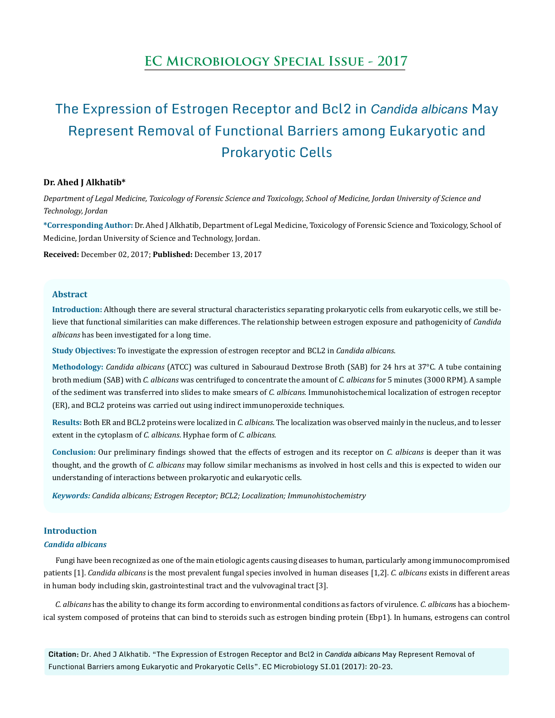## **EC Microbiology Special Issue - 2017**

# The Expression of Estrogen Receptor and Bcl2 in *Candida albicans* May Represent Removal of Functional Barriers among Eukaryotic and Prokaryotic Cells

#### **Dr. Ahed J Alkhatib\***

*Department of Legal Medicine, Toxicology of Forensic Science and Toxicology, School of Medicine, Jordan University of Science and Technology, Jordan*

**\*Corresponding Author:** Dr. Ahed J Alkhatib, Department of Legal Medicine, Toxicology of Forensic Science and Toxicology, School of Medicine, Jordan University of Science and Technology, Jordan.

**Received:** December 02, 2017; **Published:** December 13, 2017

#### **Abstract**

**Introduction:** Although there are several structural characteristics separating prokaryotic cells from eukaryotic cells, we still believe that functional similarities can make differences. The relationship between estrogen exposure and pathogenicity of *Candida albicans* has been investigated for a long time.

**Study Objectives:** To investigate the expression of estrogen receptor and BCL2 in *Candida albicans*.

**Methodology:** *Candida albicans* (ATCC) was cultured in Sabouraud Dextrose Broth (SAB) for 24 hrs at 37°C. A tube containing broth medium (SAB) with *C. albicans* was centrifuged to concentrate the amount of *C. albicans* for 5 minutes (3000 RPM). A sample of the sediment was transferred into slides to make smears of *C. albicans.* Immunohistochemical localization of estrogen receptor (ER), and BCL2 proteins was carried out using indirect immunoperoxide techniques.

**Results:** Both ER and BCL2 proteins were localized in *C. albicans*. The localization was observed mainly in the nucleus, and to lesser extent in the cytoplasm of *C. albicans*. Hyphae form of *C. albicans.*

**Conclusion:** Our preliminary findings showed that the effects of estrogen and its receptor on *C. albicans* is deeper than it was thought, and the growth of *C. albicans* may follow similar mechanisms as involved in host cells and this is expected to widen our understanding of interactions between prokaryotic and eukaryotic cells.

*Keywords: Candida albicans; Estrogen Receptor; BCL2; Localization; Immunohistochemistry*

### **Introduction**

#### *Candida albicans*

Fungi have been recognized as one of the main etiologic agents causing diseases to human, particularly among immunocompromised patients [1]. *Candida albicans* is the most prevalent fungal species involved in human diseases [1,2]. *C. albicans* exists in different areas in human body including skin, gastrointestinal tract and the vulvovaginal tract [3].

*C. albicans* has the ability to change its form according to environmental conditions as factors of virulence. *C. albican*s has a biochemical system composed of proteins that can bind to steroids such as estrogen binding protein (Ebp1). In humans, estrogens can control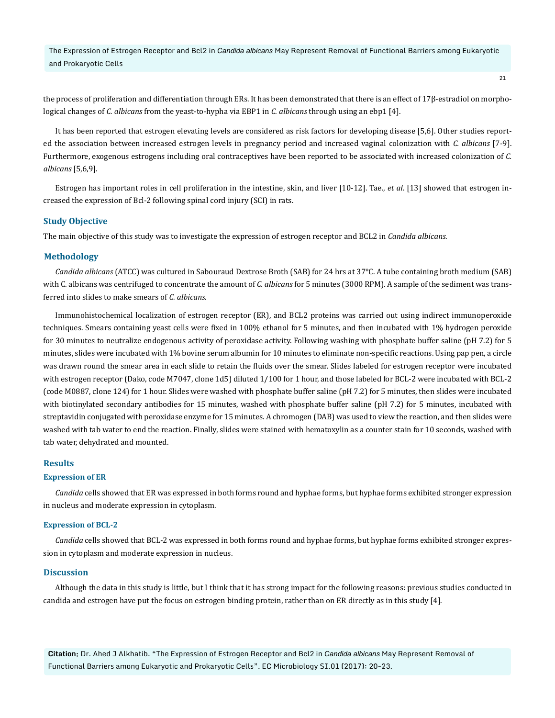The Expression of Estrogen Receptor and Bcl2 in *Candida albicans* May Represent Removal of Functional Barriers among Eukaryotic and Prokaryotic Cells

the process of proliferation and differentiation through ERs. It has been demonstrated that there is an effect of 17β-estradiol on morphological changes of *C. albicans* from the yeast-to-hypha via EBP1 in *C. albicans* through using an ebp1 [4].

It has been reported that estrogen elevating levels are considered as risk factors for developing disease [5,6]. Other studies reported the association between increased estrogen levels in pregnancy period and increased vaginal colonization with *C. albicans* [7-9]. Furthermore, exogenous estrogens including oral contraceptives have been reported to be associated with increased colonization of *C. albicans* [5,6,9].

Estrogen has important roles in cell proliferation in the intestine, skin, and liver [10-12]. Tae., *et al*. [13] showed that estrogen increased the expression of Bcl-2 following spinal cord injury (SCI) in rats.

#### **Study Objective**

The main objective of this study was to investigate the expression of estrogen receptor and BCL2 in *Candida albicans*.

#### **Methodology**

*Candida albicans* (ATCC) was cultured in Sabouraud Dextrose Broth (SAB) for 24 hrs at 37°C. A tube containing broth medium (SAB) with C. albicans was centrifuged to concentrate the amount of *C. albicans* for 5 minutes (3000 RPM). A sample of the sediment was transferred into slides to make smears of *C. albicans*.

Immunohistochemical localization of estrogen receptor (ER), and BCL2 proteins was carried out using indirect immunoperoxide techniques. Smears containing yeast cells were fixed in 100% ethanol for 5 minutes, and then incubated with 1% hydrogen peroxide for 30 minutes to neutralize endogenous activity of peroxidase activity. Following washing with phosphate buffer saline (pH 7.2) for 5 minutes, slides were incubated with 1% bovine serum albumin for 10 minutes to eliminate non-specific reactions. Using pap pen, a circle was drawn round the smear area in each slide to retain the fluids over the smear. Slides labeled for estrogen receptor were incubated with estrogen receptor (Dako, code M7047, clone 1d5) diluted 1/100 for 1 hour, and those labeled for BCL-2 were incubated with BCL-2 (code M0887, clone 124) for 1 hour. Slides were washed with phosphate buffer saline (pH 7.2) for 5 minutes, then slides were incubated with biotinylated secondary antibodies for 15 minutes, washed with phosphate buffer saline (pH 7.2) for 5 minutes, incubated with streptavidin conjugated with peroxidase enzyme for 15 minutes. A chromogen (DAB) was used to view the reaction, and then slides were washed with tab water to end the reaction. Finally, slides were stained with hematoxylin as a counter stain for 10 seconds, washed with tab water, dehydrated and mounted.

#### **Results**

#### **Expression of ER**

*Candida* cells showed that ER was expressed in both forms round and hyphae forms, but hyphae forms exhibited stronger expression in nucleus and moderate expression in cytoplasm.

#### **Expression of BCL-2**

*Candida cells showed that BCL-2 was expressed in both forms round and hyphae forms, but hyphae forms exhibited stronger expres*sion in cytoplasm and moderate expression in nucleus.

#### **Discussion**

Although the data in this study is little, but I think that it has strong impact for the following reasons: previous studies conducted in candida and estrogen have put the focus on estrogen binding protein, rather than on ER directly as in this study [4].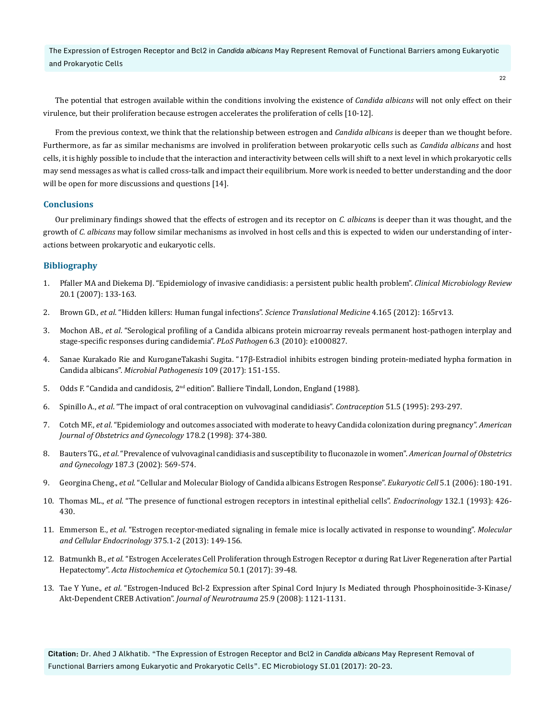The Expression of Estrogen Receptor and Bcl2 in *Candida albicans* May Represent Removal of Functional Barriers among Eukaryotic and Prokaryotic Cells

The potential that estrogen available within the conditions involving the existence of *Candida albicans* will not only effect on their virulence, but their proliferation because estrogen accelerates the proliferation of cells [10-12].

From the previous context, we think that the relationship between estrogen and *Candida albicans* is deeper than we thought before. Furthermore, as far as similar mechanisms are involved in proliferation between prokaryotic cells such as *Candida albicans* and host cells, it is highly possible to include that the interaction and interactivity between cells will shift to a next level in which prokaryotic cells may send messages as what is called cross-talk and impact their equilibrium. More work is needed to better understanding and the door will be open for more discussions and questions [14].

#### **Conclusions**

Our preliminary findings showed that the effects of estrogen and its receptor on *C. albican*s is deeper than it was thought, and the growth of *C. albicans* may follow similar mechanisms as involved in host cells and this is expected to widen our understanding of interactions between prokaryotic and eukaryotic cells.

#### **Bibliography**

- 1. [Pfaller MA and Diekema DJ. "Epidemiology of invasive candidiasis: a persistent public health problem".](https://www.ncbi.nlm.nih.gov/pubmed/17223626) *Clinical Microbiology Review* [20.1 \(2007\): 133-163.](https://www.ncbi.nlm.nih.gov/pubmed/17223626)
- 2. Brown GD., *et al*[. "Hidden killers: Human fungal infections".](https://www.ncbi.nlm.nih.gov/pubmed/23253612) *Science Translational Medicine* 4.165 (2012): 165rv13.
- 3. Mochon AB., *et al*[. "Serological profiling of a Candida albicans protein microarray reveals permanent host-pathogen interplay and](https://www.ncbi.nlm.nih.gov/pmc/articles/PMC2845659/)  [stage-specific responses during candidemia".](https://www.ncbi.nlm.nih.gov/pmc/articles/PMC2845659/) *PLoS Pathogen* 6.3 (2010): e1000827.
- 4. [Sanae Kurakado Rie and KuroganeTakashi Sugita. "17β-Estradiol inhibits estrogen binding protein-mediated hypha formation in](https://www.ncbi.nlm.nih.gov/pubmed/28552809)  Candida albicans". *[Microbial Pathogenesis](https://www.ncbi.nlm.nih.gov/pubmed/28552809)* 109 (2017): 151-155.
- 5. Odds F. "Candida and candidosis, 2nd edition". Balliere Tindall, London, England (1988).
- 6. Spinillo A., *et al*[. "The impact of oral contraception on vulvovaginal candidiasis".](https://www.ncbi.nlm.nih.gov/pubmed/7628203) *Contraception* 51.5 (1995): 293-297.
- 7. Cotch MF., *et al*[. "Epidemiology and outcomes associated with moderate to heavy Candida colonization during pregnancy".](https://www.ncbi.nlm.nih.gov/pubmed/9500502) *American [Journal of Obstetrics and Gynecology](https://www.ncbi.nlm.nih.gov/pubmed/9500502)* 178.2 (1998): 374-380.
- 8. Bauters TG., *et al*[. "Prevalence of vulvovaginal candidiasis and susceptibility to fluconazole in women".](https://www.ncbi.nlm.nih.gov/pubmed/12237629) *American Journal of Obstetrics and Gynecology* [187.3 \(2002\): 569-574.](https://www.ncbi.nlm.nih.gov/pubmed/12237629)
- 9. Georgina Cheng., *et al*[. "Cellular and Molecular Biology of Candida albicans Estrogen Response".](https://www.ncbi.nlm.nih.gov/pubmed/16400181) *Eukaryotic Cell* 5.1 (2006): 180-191.
- 10. Thomas ML., *et al*[. "The presence of functional estrogen receptors in intestinal epithelial cells".](https://www.ncbi.nlm.nih.gov/pubmed/8419141) *Endocrinology* 132.1 (1993): 426- [430.](https://www.ncbi.nlm.nih.gov/pubmed/8419141)
- 11. Emmerson E., *et al*[. "Estrogen receptor-mediated signaling in female mice is locally activated in response to wounding".](https://www.ncbi.nlm.nih.gov/pubmed/23727624) *Molecular [and Cellular Endocrinology](https://www.ncbi.nlm.nih.gov/pubmed/23727624)* 375.1-2 (2013): 149-156.
- 12. Batmunkh B., *et al*[. "Estrogen Accelerates Cell Proliferation through Estrogen Receptor α during Rat Liver Regeneration after Partial](https://www.ncbi.nlm.nih.gov/pubmed/28386149)  Hepatectomy". *[Acta Histochemica et Cytochemica](https://www.ncbi.nlm.nih.gov/pubmed/28386149)* 50.1 (2017): 39-48.
- 13. Tae Y Yune., *et al*[. "Estrogen-Induced Bcl-2 Expression after Spinal Cord Injury Is Mediated through Phosphoinositide-3-Kinase/](https://www.ncbi.nlm.nih.gov/pubmed/18785877) [Akt-Dependent CREB Activation".](https://www.ncbi.nlm.nih.gov/pubmed/18785877) *Journal of Neurotrauma* 25.9 (2008): 1121-1131.